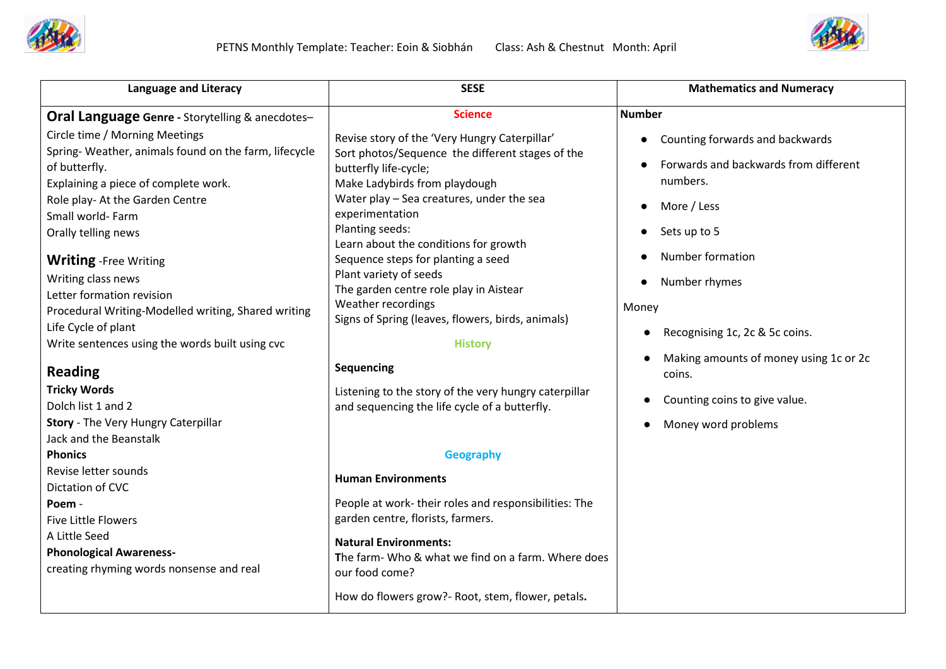



| <b>Language and Literacy</b>                               | <b>SESE</b>                                                                | <b>Mathematics and Numeracy</b>             |
|------------------------------------------------------------|----------------------------------------------------------------------------|---------------------------------------------|
| <b>Oral Language Genre - Storytelling &amp; anecdotes-</b> | <b>Science</b>                                                             | <b>Number</b>                               |
| Circle time / Morning Meetings                             | Revise story of the 'Very Hungry Caterpillar'                              | Counting forwards and backwards             |
| Spring-Weather, animals found on the farm, lifecycle       | Sort photos/Sequence the different stages of the                           | Forwards and backwards from different       |
| of butterfly.                                              | butterfly life-cycle;                                                      | numbers.                                    |
| Explaining a piece of complete work.                       | Make Ladybirds from playdough<br>Water play - Sea creatures, under the sea |                                             |
| Role play- At the Garden Centre<br>Small world- Farm       | experimentation                                                            | More / Less                                 |
|                                                            | Planting seeds:                                                            | Sets up to 5                                |
| Orally telling news                                        | Learn about the conditions for growth                                      |                                             |
| <b>Writing</b> -Free Writing                               | Sequence steps for planting a seed                                         | Number formation                            |
| Writing class news                                         | Plant variety of seeds                                                     | Number rhymes                               |
| Letter formation revision                                  | The garden centre role play in Aistear                                     |                                             |
| Procedural Writing-Modelled writing, Shared writing        | Weather recordings                                                         | Money                                       |
| Life Cycle of plant                                        | Signs of Spring (leaves, flowers, birds, animals)                          |                                             |
| Write sentences using the words built using cvc            | <b>History</b>                                                             | Recognising 1c, 2c & 5c coins.<br>$\bullet$ |
|                                                            |                                                                            | Making amounts of money using 1c or 2c      |
| <b>Reading</b>                                             | <b>Sequencing</b>                                                          | coins.                                      |
| <b>Tricky Words</b>                                        | Listening to the story of the very hungry caterpillar                      | Counting coins to give value.               |
| Dolch list 1 and 2                                         | and sequencing the life cycle of a butterfly.                              |                                             |
| Story - The Very Hungry Caterpillar                        |                                                                            | Money word problems<br>$\bullet$            |
| Jack and the Beanstalk                                     |                                                                            |                                             |
| <b>Phonics</b>                                             | <b>Geography</b>                                                           |                                             |
| Revise letter sounds                                       | <b>Human Environments</b>                                                  |                                             |
| Dictation of CVC                                           |                                                                            |                                             |
| Poem -                                                     | People at work-their roles and responsibilities: The                       |                                             |
| <b>Five Little Flowers</b>                                 | garden centre, florists, farmers.                                          |                                             |
| A Little Seed                                              | <b>Natural Environments:</b>                                               |                                             |
| <b>Phonological Awareness-</b>                             | The farm- Who & what we find on a farm. Where does                         |                                             |
| creating rhyming words nonsense and real                   | our food come?                                                             |                                             |
|                                                            | How do flowers grow?- Root, stem, flower, petals.                          |                                             |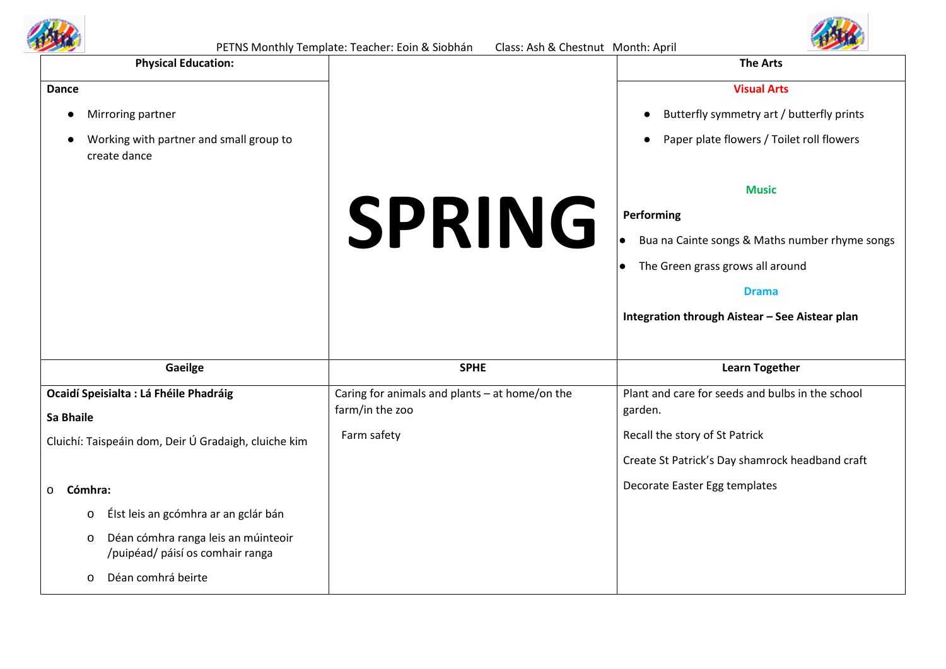



|                                                                              | PETINS MOTITITY TEMPROTE. TEACHER: EQITI & SIODITAM<br>Class. ASIT& CHESTING MOTION. ADITI |                                                        |
|------------------------------------------------------------------------------|--------------------------------------------------------------------------------------------|--------------------------------------------------------|
| <b>Physical Education:</b>                                                   |                                                                                            | <b>The Arts</b>                                        |
| <b>Dance</b>                                                                 |                                                                                            | <b>Visual Arts</b>                                     |
| Mirroring partner                                                            |                                                                                            | Butterfly symmetry art / butterfly prints              |
| Working with partner and small group to<br>create dance                      |                                                                                            | Paper plate flowers / Toilet roll flowers<br>$\bullet$ |
|                                                                              |                                                                                            | <b>Music</b>                                           |
|                                                                              | <b>SPRING</b>                                                                              | Performing                                             |
|                                                                              |                                                                                            | Bua na Cainte songs & Maths number rhyme songs         |
|                                                                              |                                                                                            | The Green grass grows all around<br>$\bullet$          |
|                                                                              |                                                                                            | <b>Drama</b>                                           |
|                                                                              |                                                                                            | Integration through Aistear - See Aistear plan         |
|                                                                              |                                                                                            |                                                        |
| Gaeilge                                                                      | <b>SPHE</b>                                                                                | <b>Learn Together</b>                                  |
| Ocaidí Speisialta : Lá Fhéile Phadráig                                       | Caring for animals and plants - at home/on the                                             | Plant and care for seeds and bulbs in the school       |
| <b>Sa Bhaile</b>                                                             | farm/in the zoo                                                                            | garden.                                                |
| Cluichí: Taispeáin dom, Deir Ú Gradaigh, cluiche kim                         | Farm safety                                                                                | Recall the story of St Patrick                         |
|                                                                              |                                                                                            | Create St Patrick's Day shamrock headband craft        |
| Cómhra:<br>$\mathsf{o}$                                                      |                                                                                            | Decorate Easter Egg templates                          |
| Élst leis an gcómhra ar an gclár bán<br>o                                    |                                                                                            |                                                        |
| Déan cómhra ranga leis an múinteoir<br>o<br>/puipéad/ páisí os comhair ranga |                                                                                            |                                                        |
| Déan comhrá beirte<br>0                                                      |                                                                                            |                                                        |